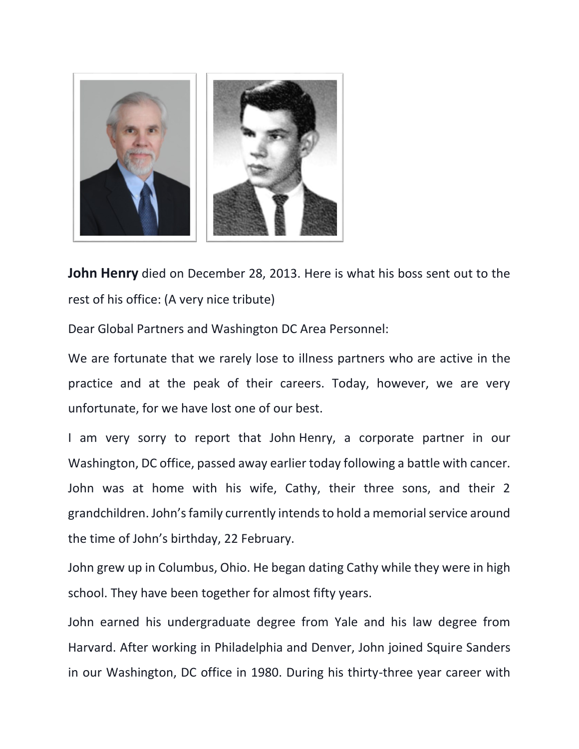

**John Henry** died on December 28, 2013. Here is what his boss sent out to the rest of his office: (A very nice tribute)

Dear Global Partners and Washington DC Area Personnel:

We are fortunate that we rarely lose to illness partners who are active in the practice and at the peak of their careers. Today, however, we are very unfortunate, for we have lost one of our best.

I am very sorry to report that John Henry, a corporate partner in our Washington, DC office, passed away earlier today following a battle with cancer. John was at home with his wife, Cathy, their three sons, and their 2 grandchildren. John's family currently intends to hold a memorial service around the time of John's birthday, 22 February.

John grew up in Columbus, Ohio. He began dating Cathy while they were in high school. They have been together for almost fifty years.

John earned his undergraduate degree from Yale and his law degree from Harvard. After working in Philadelphia and Denver, John joined Squire Sanders in our Washington, DC office in 1980. During his thirty-three year career with